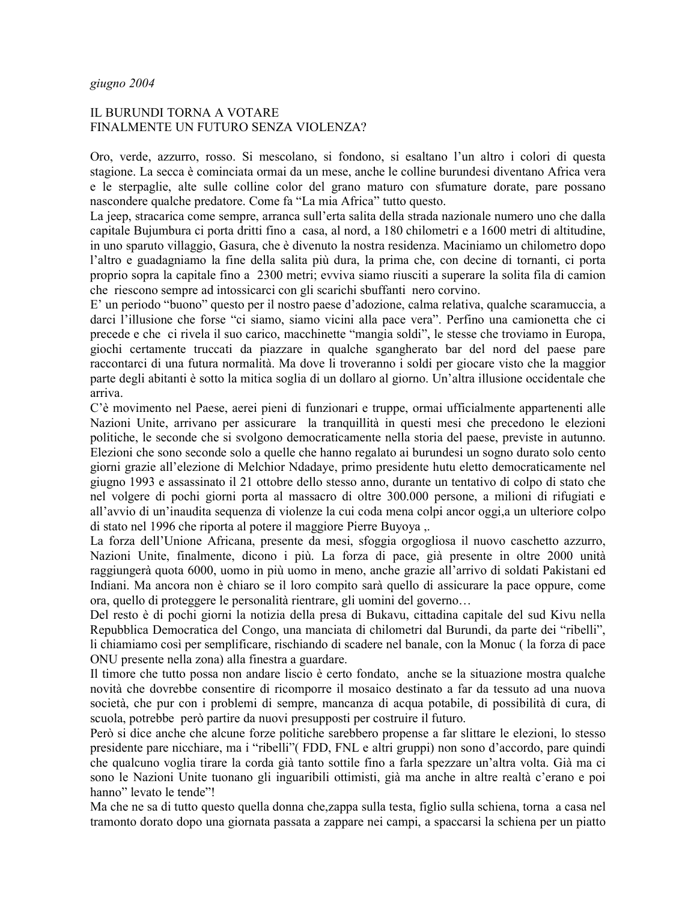# IL BURUNDI TORNA A VOTARE FINALMENTE UN FUTURO SENZA VIOLENZA?

Oro, verde, azzurro, rosso. Si mescolano, si fondono, si esaltano l'un altro i colori di questa stagione. La secca è cominciata ormai da un mese, anche le colline burundesi diventano Africa vera  $\overline{c}$  e le sterpaglie, alte sulle colline color del grano maturo con sfumature dorate, pare possano nascondere qualche predatore. Come fa "La mia Africa" tutto questo.

La jeep, stracarica come sempre, arranca sull'erta salita della strada nazionale numero uno che dalla capitale Bujumbura ci porta dritti fino a casa, al nord, a 180 chilometri e a 1600 metri di altitudine, in uno sparuto villaggio, Gasura, che è divenuto la nostra residenza. Maciniamo un chilometro dopo l'altro e guadagniamo la fine della salita più dura, la prima che, con decine di tornanti, ci porta proprio sopra la capitale fino a 2300 metri; evviva siamo riusciti a superare la solita fila di camion che riescono sempre ad intossicarci con gli scarichi sbuffanti nero corvino.

E' un periodo "buono" questo per il nostro paese d'adozione, calma relativa, qualche scaramuccia, a darci l'illusione che forse "ci siamo, siamo vicini alla pace vera". Perfino una camionetta che ci precede e che ci rivela il suo carico, macchinette "mangia soldi", le stesse che troviamo in Europa, giochi certamente truccati da piazzare in qualche sgangherato bar del nord del paese pare raccontarci di una futura normalità. Ma dove li troveranno i soldi per giocare visto che la maggior parte degli abitanti è sotto la mitica soglia di un dollaro al giorno. Un'altra illusione occidentale che arriva.

C'è movimento nel Paese, aerei pieni di funzionari e truppe, ormai ufficialmente appartenenti alle Nazioni Unite, arrivano per assicurare la tranquillità in questi mesi che precedono le elezioni politiche, le seconde che si svolgono democraticamente nella storia del paese, previste in autunno. Elezioni che sono seconde solo a quelle che hanno regalato ai burundesi un sogno durato solo cento giorni grazie all'elezione di Melchior Ndadaye, primo presidente hutu eletto democraticamente nel giugno 1993 e assassinato il 21 ottobre dello stesso anno, durante un tentativo di colpo di stato che nel volgere di pochi giorni porta al massacro di oltre 300.000 persone, a milioni di rifugiati e all'avvio di un'inaudita sequenza di violenze la cui coda mena colpi ancor oggi, a un ulteriore colpo di stato nel 1996 che riporta al potere il maggiore Pierre Buyoya,.

La forza dell'Unione Africana, presente da mesi, sfoggia orgogliosa il nuovo caschetto azzurro, Nazioni Unite, finalmente, dicono i più. La forza di pace, già presente in oltre 2000 unità raggiungerà quota 6000, uomo in più uomo in meno, anche grazie all'arrivo di soldati Pakistani ed Indiani. Ma ancora non è chiaro se il loro compito sarà quello di assicurare la pace oppure, come ora, quello di proteggere le personalità rientrare, gli uomini del governo...

Del resto è di pochi giorni la notizia della presa di Bukavu, cittadina capitale del sud Kivu nella Repubblica Democratica del Congo, una manciata di chilometri dal Burundi, da parte dei "ribelli", li chiamiamo così per semplificare, rischiando di scadere nel banale, con la Monuc (la forza di pace ONU presente nella zona) alla finestra a guardare.

Il timore che tutto possa non andare liscio è certo fondato, anche se la situazione mostra qualche novità che dovrebbe consentire di ricomporre il mosaico destinato a far da tessuto ad una nuova società, che pur con i problemi di sempre, mancanza di acqua potabile, di possibilità di cura, di scuola, potrebbe però partire da nuovi presupposti per costruire il futuro.

Però si dice anche che alcune forze politiche sarebbero propense a far slittare le elezioni, lo stesso presidente pare nicchiare, ma i "ribelli" (FDD, FNL e altri gruppi) non sono d'accordo, pare quindi che qualcuno voglia tirare la corda già tanto sottile fino a farla spezzare un'altra volta. Già ma ci sono le Nazioni Unite tuonano gli inguaribili ottimisti, già ma anche in altre realtà c'erano e poi hanno" levato le tende"!

Ma che ne sa di tutto questo quella donna che, zappa sulla testa, figlio sulla schiena, torna a casa nel tramonto dorato dopo una giornata passata a zappare nei campi, a spaccarsi la schiena per un piatto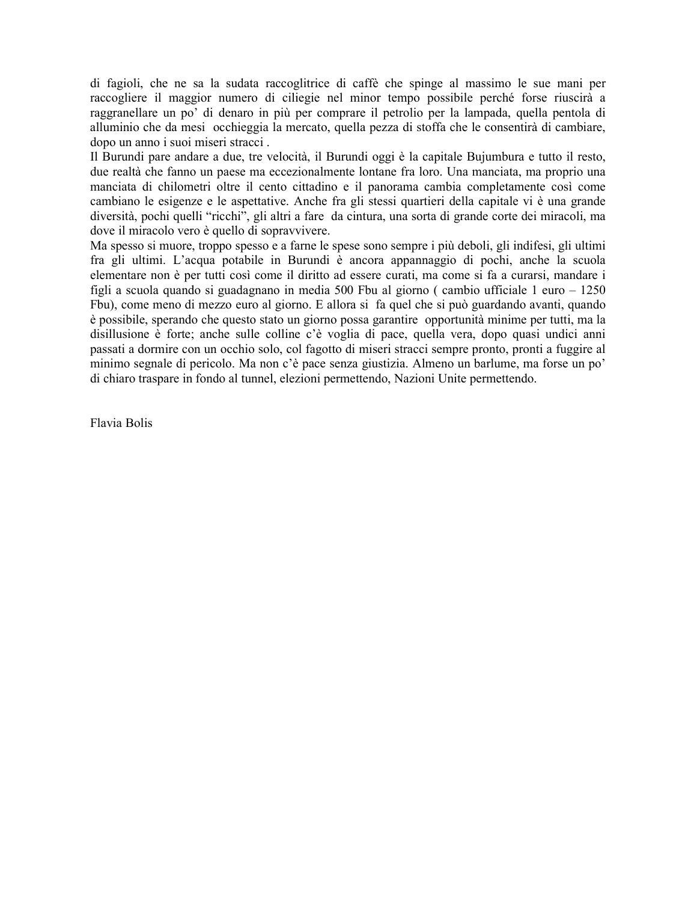di fagioli, che ne sa la sudata raccoglitrice di caffè che spinge al massimo le sue mani per raccogliere il maggior numero di ciliegie nel minor tempo possibile perché forse riuscirà a raggranellare un po' di denaro in più per comprare il petrolio per la lampada, quella pentola di alluminio che da mesi occhieggia la mercato, quella pezza di stoffa che le consentirà di cambiare, dopo un anno i suoi miseri stracci.

Il Burundi pare andare a due, tre velocità, il Burundi oggi è la capitale Bujumbura e tutto il resto, due realtà che fanno un paese ma eccezionalmente lontane fra loro. Una manciata, ma proprio una manciata di chilometri oltre il cento cittadino e il panorama cambia completamente così come cambiano le esigenze e le aspettative. Anche fra gli stessi quartieri della capitale vi è una grande diversità, pochi quelli "ricchi", gli altri a fare da cintura, una sorta di grande corte dei miracoli, ma dove il miracolo vero è quello di sopravvivere.

Ma spesso si muore, troppo spesso e a farne le spese sono sempre i più deboli, gli indifesi, gli ultimi fra gli ultimi. L'acqua potabile in Burundi è ancora appannaggio di pochi, anche la scuola elementare non è per tutti così come il diritto ad essere curati, ma come si fa a curarsi, mandare i figli a scuola quando si guadagnano in media 500 Fbu al giorno (cambio ufficiale 1 euro  $-1250$ Fbu), come meno di mezzo euro al giorno. E allora si fa quel che si può guardando avanti, quando è possibile, sperando che questo stato un giorno possa garantire opportunità minime per tutti, ma la disillusione è forte; anche sulle colline c'è voglia di pace, quella vera, dopo quasi undici anni passati a dormire con un occhio solo, col fagotto di miseri stracci sempre pronto, pronti a fuggire al minimo segnale di pericolo. Ma non c'è pace senza giustizia. Almeno un barlume, ma forse un po' di chiaro traspare in fondo al tunnel, elezioni permettendo, Nazioni Unite permettendo.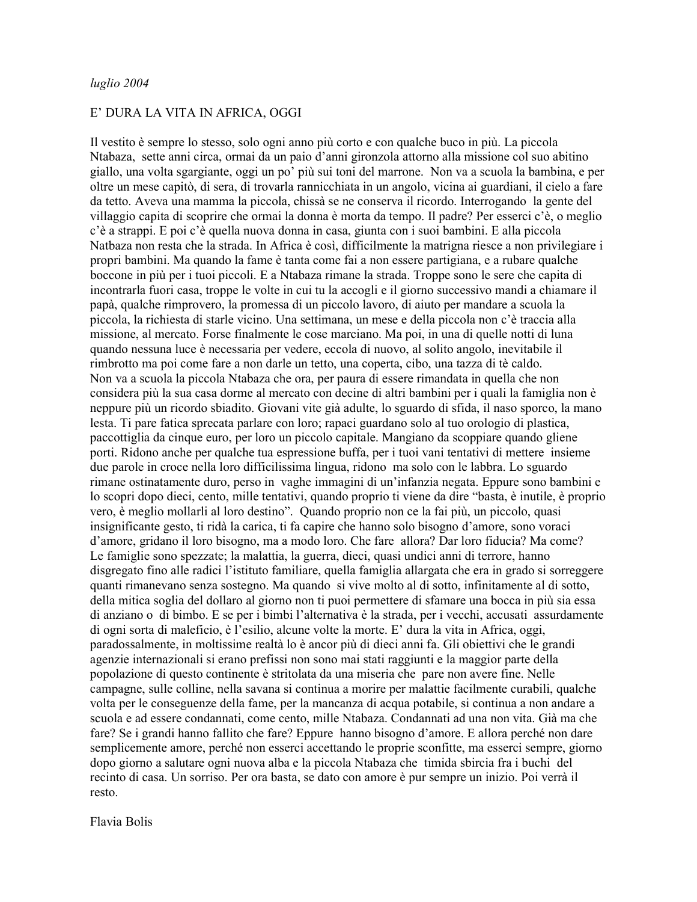### E' DURA LA VITA IN AFRICA, OGGI

Il vestito è sempre lo stesso, solo ogni anno più corto e con qualche buco in più. La piccola Ntabaza, sette anni circa, ormai da un paio d'anni gironzola attorno alla missione col suo abitino giallo, una volta sgargiante, oggi un po' più sui toni del marrone. Non va a scuola la bambina, e per oltre un mese capitò, di sera, di trovarla rannicchiata in un angolo, vicina ai guardiani, il cielo a fare da tetto. Aveva una mamma la piccola, chissà se ne conserva il ricordo. Interrogando la gente del villaggio capita di scoprire che ormai la donna è morta da tempo. Il padre? Per esserci c'è, o meglio c'è a strappi. E poi c'è quella nuova donna in casa, giunta con i suoi bambini. E alla piccola Natbaza non resta che la strada. In Africa è così, difficilmente la matrigna riesce a non privilegiare i propri bambini. Ma quando la fame è tanta come fai a non essere partigiana, e a rubare qualche boccone in più per i tuoi piccoli. E a Ntabaza rimane la strada. Troppe sono le sere che capita di incontrarla fuori casa, troppe le volte in cui tu la accogli e il giorno successivo mandi a chiamare il papà, qualche rimprovero, la promessa di un piccolo lavoro, di aiuto per mandare a scuola la piccola, la richiesta di starle vicino. Una settimana, un mese e della piccola non c'è traccia alla missione, al mercato. Forse finalmente le cose marciano. Ma poi, in una di quelle notti di luna quando nessuna luce è necessaria per vedere, eccola di nuovo, al solito angolo, inevitabile il rimbrotto ma poi come fare a non darle un tetto, una coperta, cibo, una tazza di tè caldo. Non va a scuola la piccola Ntabaza che ora, per paura di essere rimandata in quella che non considera più la sua casa dorme al mercato con decine di altri bambini per i quali la famiglia non è neppure più un ricordo sbiadito. Giovani vite già adulte, lo sguardo di sfida, il naso sporco, la mano lesta. Ti pare fatica sprecata parlare con loro; rapaci guardano solo al tuo orologio di plastica, paccottiglia da cinque euro, per loro un piccolo capitale. Mangiano da scoppiare quando gliene porti. Ridono anche per qualche tua espressione buffa, per i tuoi vani tentativi di mettere insieme due parole in croce nella loro difficilissima lingua, ridono ma solo con le labbra. Lo sguardo rimane ostinatamente duro, perso in vaghe immagini di un'infanzia negata. Eppure sono bambini e lo scopri dopo dieci, cento, mille tentativi, quando proprio ti viene da dire "basta, è inutile, è proprio vero, è meglio mollarli al loro destino". Quando proprio non ce la fai più, un piccolo, quasi insignificante gesto, ti ridà la carica, ti fa capire che hanno solo bisogno d'amore, sono voraci d'amore, gridano il loro bisogno, ma a modo loro. Che fare allora? Dar loro fiducia? Ma come? Le famiglie sono spezzate; la malattia, la guerra, dieci, quasi undici anni di terrore, hanno disgregato fino alle radici l'istituto familiare, quella famiglia allargata che era in grado si sorreggere quanti rimanevano senza sostegno. Ma quando si vive molto al di sotto, infinitamente al di sotto, della mitica soglia del dollaro al giorno non ti puoi permettere di sfamare una bocca in più sia essa di anziano o di bimbo. E se per i bimbi l'alternativa è la strada, per i vecchi, accusati assurdamente di ogni sorta di maleficio, è l'esilio, alcune volte la morte. E' dura la vita in Africa, oggi, paradossalmente, in moltissime realtà lo è ancor più di dieci anni fa. Gli obiettivi che le grandi agenzie internazionali si erano prefissi non sono mai stati raggiunti e la maggior parte della popolazione di questo continente è stritolata da una miseria che pare non avere fine. Nelle campagne, sulle colline, nella savana si continua a morire per malattie facilmente curabili, qualche volta per le conseguenze della fame, per la mancanza di acqua potabile, si continua a non andare a scuola e ad essere condannati, come cento, mille Ntabaza. Condannati ad una non vita. Già ma che fare? Se i grandi hanno fallito che fare? Eppure hanno bisogno d'amore. E allora perché non dare semplicemente amore, perché non esserci accettando le proprie sconfitte, ma esserci sempre, giorno dopo giorno a salutare ogni nuova alba e la piccola Ntabaza che timida sbircia fra i buchi del recinto di casa. Un sorriso. Per ora basta, se dato con amore è pur sempre un inizio. Poi verrà il resto.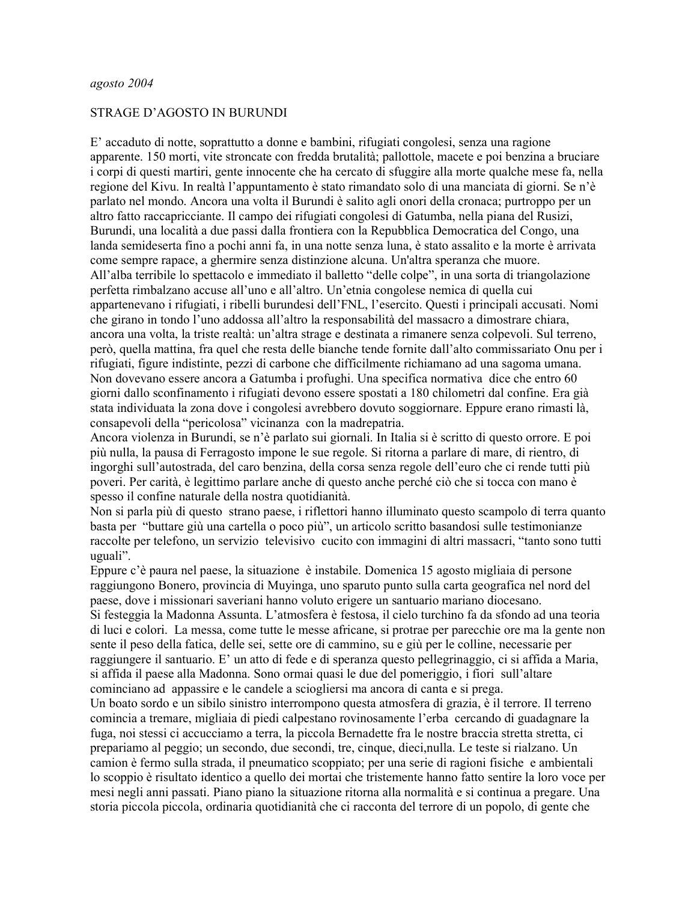### STRAGE D'AGOSTO IN BURUNDI

E' accaduto di notte, soprattutto a donne e bambini, rifugiati congolesi, senza una ragione apparente. 150 morti, vite stroncate con fredda brutalità; pallottole, macete e poi benzina a bruciare i corpi di questi martiri, gente innocente che ha cercato di sfuggire alla morte qualche mese fa, nella regione del Kivu. In realtà l'appuntamento è stato rimandato solo di una manciata di giorni. Se n'è parlato nel mondo. Ancora una volta il Burundi è salito agli onori della cronaca; purtroppo per un altro fatto raccapricciante. Il campo dei rifugiati congolesi di Gatumba, nella piana del Rusizi, Burundi, una località a due passi dalla frontiera con la Repubblica Democratica del Congo, una landa semideserta fino a pochi anni fa, in una notte senza luna, è stato assalito e la morte è arrivata come sempre rapace, a ghermire senza distinzione alcuna. Un'altra speranza che muore. All'alba terribile lo spettacolo e immediato il balletto "delle colpe", in una sorta di triangolazione perfetta rimbalzano accuse all'uno e all'altro. Un'etnia congolese nemica di quella cui appartenevano i rifugiati, i ribelli burundesi dell'FNL, l'esercito. Questi i principali accusati. Nomi che girano in tondo l'uno addossa all'altro la responsabilità del massacro a dimostrare chiara, ancora una volta, la triste realtà: un'altra strage e destinata a rimanere senza colpevoli. Sul terreno, però, quella mattina, fra quel che resta delle bianche tende fornite dall'alto commissariato Onu per i rifugiati, figure indistinte, pezzi di carbone che difficilmente richiamano ad una sagoma umana. Non dovevano essere ancora a Gatumba i profughi. Una specifica normativa dice che entro 60 giorni dallo sconfinamento i rifugiati devono essere spostati a 180 chilometri dal confine. Era già stata individuata la zona dove i congolesi avrebbero dovuto soggiornare. Eppure erano rimasti là, consapevoli della "pericolosa" vicinanza con la madrepatria.

Ancora violenza in Burundi, se n'è parlato sui giornali. In Italia si è scritto di questo orrore. E poi più nulla, la pausa di Ferragosto impone le sue regole. Si ritorna a parlare di mare, di rientro, di ingorghi sull'autostrada, del caro benzina, della corsa senza regole dell'euro che ci rende tutti più poveri. Per carità, è legittimo parlare anche di questo anche perché ciò che si tocca con mano è spesso il confine naturale della nostra quotidianità.

Non si parla più di questo strano paese, i riflettori hanno illuminato questo scampolo di terra quanto basta per "buttare giù una cartella o poco più", un articolo scritto basandosi sulle testimonianze raccolte per telefono, un servizio televisivo cucito con immagini di altri massacri, "tanto sono tutti uguali".

Eppure c'è paura nel paese, la situazione è instabile. Domenica 15 agosto migliaia di persone raggiungono Bonero, provincia di Muyinga, uno sparuto punto sulla carta geografica nel nord del paese, dove i missionari saveriani hanno voluto erigere un santuario mariano diocesano. Si festeggia la Madonna Assunta. L'atmosfera è festosa, il cielo turchino fa da sfondo ad una teoria di luci e colori. La messa, come tutte le messe africane, si protrae per parecchie ore ma la gente non sente il peso della fatica, delle sei, sette ore di cammino, su e giù per le colline, necessarie per raggiungere il santuario. E' un atto di fede e di speranza questo pellegrinaggio, ci si affida a Maria, si affida il paese alla Madonna. Sono ormai quasi le due del pomeriggio, i fiori sull'altare cominciano ad appassire e le candele a sciogliersi ma ancora di canta e si prega.

Un boato sordo e un sibilo sinistro interrompono questa atmosfera di grazia, è il terrore. Il terreno comincia a tremare, migliaia di piedi calpestano rovinosamente l'erba cercando di guadagnare la fuga, noi stessi ci accucciamo a terra, la piccola Bernadette fra le nostre braccia stretta stretta, ci prepariamo al peggio; un secondo, due secondi, tre, cinque, dieci, nulla. Le teste si rialzano. Un camion è fermo sulla strada, il pneumatico scoppiato; per una serie di ragioni fisiche e ambientali lo scoppio è risultato identico a quello dei mortai che tristemente hanno fatto sentire la loro voce per mesi negli anni passati. Piano piano la situazione ritorna alla normalità e si continua a pregare. Una storia piccola piccola, ordinaria quotidianità che ci racconta del terrore di un popolo, di gente che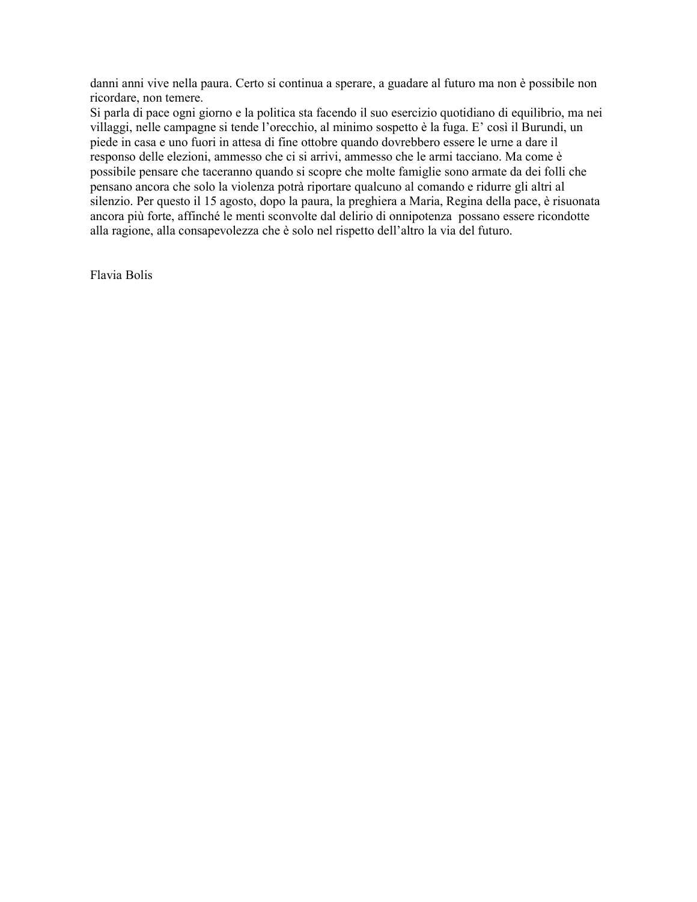danni anni vive nella paura. Certo si continua a sperare, a guadare al futuro ma non è possibile non ricordare, non temere.

Si parla di pace ogni giorno e la politica sta facendo il suo esercizio quotidiano di equilibrio, ma nei villaggi, nelle campagne si tende l'orecchio, al minimo sospetto è la fuga. E' così il Burundi, un piede in casa e uno fuori in attesa di fine ottobre quando dovrebbero essere le urne a dare il responso delle elezioni, ammesso che ci si arrivi, ammesso che le armi tacciano. Ma come è possibile pensare che taceranno quando si scopre che molte famiglie sono armate da dei folli che pensano ancora che solo la violenza potrà riportare qualcuno al comando e ridurre gli altri al silenzio. Per questo il 15 agosto, dopo la paura, la preghiera a Maria, Regina della pace, è risuonata ancora più forte, affinché le menti sconvolte dal delirio di onnipotenza possano essere ricondotte alla ragione, alla consapevolezza che è solo nel rispetto dell'altro la via del futuro.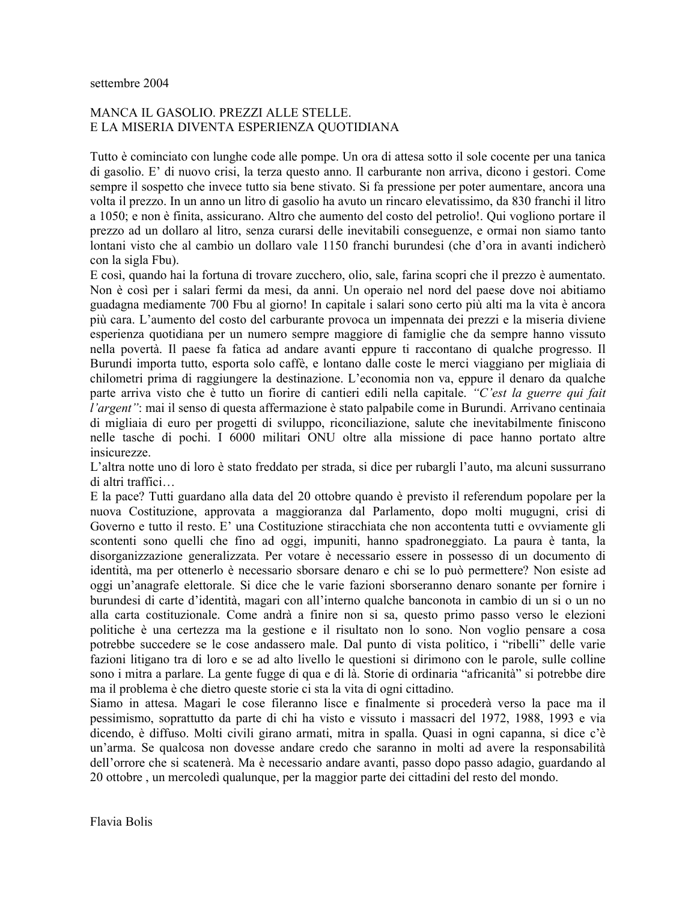# MANCA IL GASOLIO. PREZZI ALLE STELLE. E LA MISERIA DIVENTA ESPERIENZA QUOTIDIANA

Tutto è cominciato con lunghe code alle pompe. Un ora di attesa sotto il sole cocente per una tanica di gasolio. E' di nuovo crisi, la terza questo anno. Il carburante non arriva, dicono i gestori. Come sempre il sospetto che invece tutto sia bene stivato. Si fa pressione per poter aumentare, ancora una volta il prezzo. In un anno un litro di gasolio ha avuto un rincaro elevatissimo, da 830 franchi il litro a 1050; e non è finita, assicurano. Altro che aumento del costo del petrolio!. Qui vogliono portare il prezzo ad un dollaro al litro, senza curarsi delle inevitabili conseguenze, e ormai non siamo tanto lontani visto che al cambio un dollaro vale 1150 franchi burundesi (che d'ora in avanti indicherò con la sigla Fbu).

E così, quando hai la fortuna di trovare zucchero, olio, sale, farina scopri che il prezzo è aumentato. Non è così per i salari fermi da mesi, da anni. Un operaio nel nord del paese dove noi abitiamo guadagna mediamente 700 Fbu al giorno! In capitale i salari sono certo più alti ma la vita è ancora più cara. L'aumento del costo del carburante provoca un impennata dei prezzi e la miseria diviene esperienza quotidiana per un numero sempre maggiore di famiglie che da sempre hanno vissuto nella povertà. Il paese fa fatica ad andare avanti eppure ti raccontano di qualche progresso. Il Burundi importa tutto, esporta solo caffè, e lontano dalle coste le merci viaggiano per migliaia di chilometri prima di raggiungere la destinazione. L'economia non va, eppure il denaro da qualche parte arriva visto che è tutto un fiorire di cantieri edili nella capitale. "C'est la guerre qui fait l'argent": mai il senso di questa affermazione è stato palpabile come in Burundi. Arrivano centinaia di migliaia di euro per progetti di sviluppo, riconciliazione, salute che inevitabilmente finiscono nelle tasche di pochi. I 6000 militari ONU oltre alla missione di pace hanno portato altre insicurezze.

L'altra notte uno di loro è stato freddato per strada, si dice per rubargli l'auto, ma alcuni sussurrano di altri traffici...

E la pace? Tutti guardano alla data del 20 ottobre quando è previsto il referendum popolare per la nuova Costituzione, approvata a maggioranza dal Parlamento, dopo molti mugugni, crisi di Governo e tutto il resto. E' una Costituzione stiracchiata che non accontenta tutti e ovviamente gli scontenti sono quelli che fino ad oggi, impuniti, hanno spadroneggiato. La paura è tanta, la disorganizzazione generalizzata. Per votare è necessario essere in possesso di un documento di identità, ma per ottenerlo è necessario sborsare denaro e chi se lo può permettere? Non esiste ad oggi un'anagrafe elettorale. Si dice che le varie fazioni sborseranno denaro sonante per fornire i burundesi di carte d'identità, magari con all'interno qualche banconota in cambio di un si o un no alla carta costituzionale. Come andrà a finire non si sa, questo primo passo verso le elezioni politiche è una certezza ma la gestione e il risultato non lo sono. Non voglio pensare a cosa potrebbe succedere se le cose andassero male. Dal punto di vista politico, i "ribelli" delle varie fazioni litigano tra di loro e se ad alto livello le questioni si dirimono con le parole, sulle colline sono i mitra a parlare. La gente fugge di qua e di là. Storie di ordinaria "africanità" si potrebbe dire ma il problema è che dietro queste storie ci sta la vita di ogni cittadino.

Siamo in attesa. Magari le cose fileranno lisce e finalmente si procederà verso la pace ma il pessimismo, soprattutto da parte di chi ha visto e vissuto i massacri del 1972, 1988, 1993 e via dicendo, è diffuso. Molti civili girano armati, mitra in spalla. Quasi in ogni capanna, si dice c'è un'arma. Se qualcosa non dovesse andare credo che saranno in molti ad avere la responsabilità dell'orrore che si scatenerà. Ma è necessario andare avanti, passo dopo passo adagio, guardando al 20 ottobre, un mercoledì qualunque, per la maggior parte dei cittadini del resto del mondo.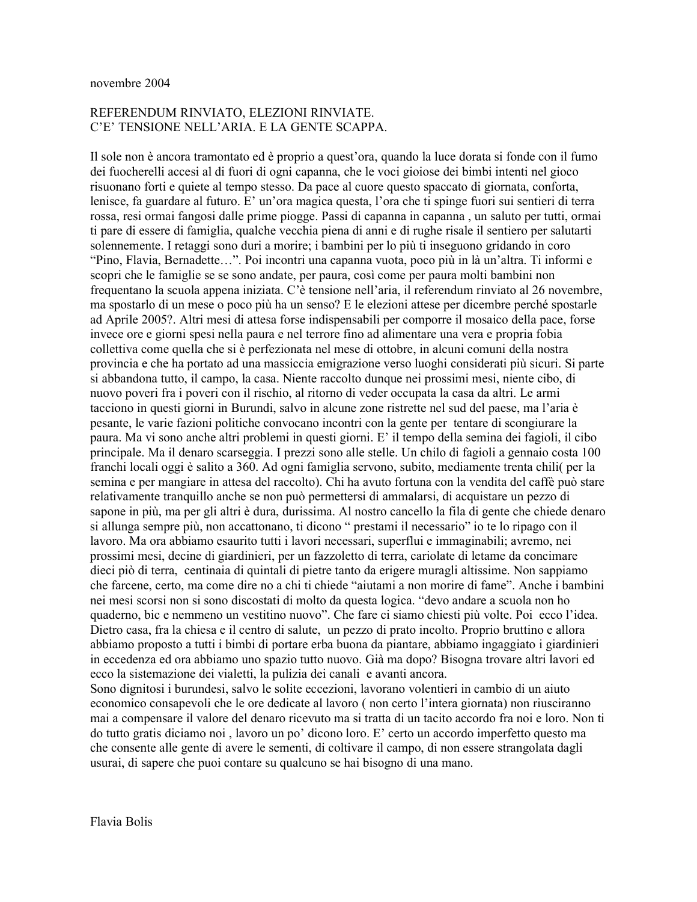## REFERENDUM RINVIATO, ELEZIONI RINVIATE. C'E' TENSIONE NELL'ARIA. E LA GENTE SCAPPA.

Il sole non è ancora tramontato ed è proprio a quest'ora, quando la luce dorata si fonde con il fumo dei fuocherelli accesi al di fuori di ogni capanna, che le voci gioiose dei bimbi intenti nel gioco risuonano forti e quiete al tempo stesso. Da pace al cuore questo spaccato di giornata, conforta, lenisce, fa guardare al futuro. E' un'ora magica questa, l'ora che ti spinge fuori sui sentieri di terra rossa, resi ormai fangosi dalle prime piogge. Passi di capanna in capanna, un saluto per tutti, ormai ti pare di essere di famiglia, qualche vecchia piena di anni e di rughe risale il sentiero per salutarti solennemente. I retaggi sono duri a morire; i bambini per lo più ti inseguono gridando in coro "Pino, Flavia, Bernadette...". Poi incontri una capanna vuota, poco più in là un'altra. Ti informi e scopri che le famiglie se se sono andate, per paura, così come per paura molti bambini non frequentano la scuola appena iniziata. C'è tensione nell'aria, il referendum rinviato al 26 novembre, ma spostarlo di un mese o poco più ha un senso? E le elezioni attese per dicembre perché spostarle ad Aprile 2005?. Altri mesi di attesa forse indispensabili per comporre il mosaico della pace, forse invece ore e giorni spesi nella paura e nel terrore fino ad alimentare una vera e propria fobia collettiva come quella che si è perfezionata nel mese di ottobre, in alcuni comuni della nostra provincia e che ha portato ad una massiccia emigrazione verso luoghi considerati più sicuri. Si parte si abbandona tutto, il campo, la casa. Niente raccolto dunque nei prossimi mesi, niente cibo, di nuovo poveri fra i poveri con il rischio, al ritorno di veder occupata la casa da altri. Le armi tacciono in questi giorni in Burundi, salvo in alcune zone ristrette nel sud del paese, ma l'aria è pesante, le varie fazioni politiche convocano incontri con la gente per tentare di scongiurare la paura. Ma vi sono anche altri problemi in questi giorni. E' il tempo della semina dei fagioli, il cibo principale. Ma il denaro scarseggia. I prezzi sono alle stelle. Un chilo di fagioli a gennaio costa 100 franchi locali oggi è salito a 360. Ad ogni famiglia servono, subito, mediamente trenta chili (per la semina e per mangiare in attesa del raccolto). Chi ha avuto fortuna con la vendita del caffè può stare relativamente tranquillo anche se non può permettersi di ammalarsi, di acquistare un pezzo di sapone in più, ma per gli altri è dura, durissima. Al nostro cancello la fila di gente che chiede denaro si allunga sempre più, non accattonano, ti dicono "prestami il necessario" io te lo ripago con il lavoro. Ma ora abbiamo esaurito tutti i lavori necessari, superflui e immaginabili; avremo, nei prossimi mesi, decine di giardinieri, per un fazzoletto di terra, cariolate di letame da concimare dieci piò di terra, centinaia di quintali di pietre tanto da erigere muragli altissime. Non sappiamo che farcene, certo, ma come dire no a chi ti chiede "aiutami a non morire di fame". Anche i bambini nei mesi scorsi non si sono discostati di molto da questa logica. "devo andare a scuola non ho quaderno, bic e nemmeno un vestitino nuovo". Che fare ci siamo chiesti più volte. Poi ecco l'idea. Dietro casa, fra la chiesa e il centro di salute, un pezzo di prato incolto. Proprio bruttino e allora abbiamo proposto a tutti i bimbi di portare erba buona da piantare, abbiamo ingaggiato i giardinieri in eccedenza ed ora abbiamo uno spazio tutto nuovo. Già ma dopo? Bisogna trovare altri lavori ed ecco la sistemazione dei vialetti, la pulizia dei canali e avanti ancora.

Sono dignitosi i burundesi, salvo le solite eccezioni, lavorano volentieri in cambio di un aiuto economico consapevoli che le ore dedicate al lavoro (non certo l'intera giornata) non riusciranno mai a compensare il valore del denaro ricevuto ma si tratta di un tacito accordo fra noi e loro. Non ti do tutto gratis diciamo noi, lavoro un po' dicono loro. E' certo un accordo imperfetto questo ma che consente alle gente di avere le sementi, di coltivare il campo, di non essere strangolata dagli usurai, di sapere che puoi contare su qualcuno se hai bisogno di una mano.